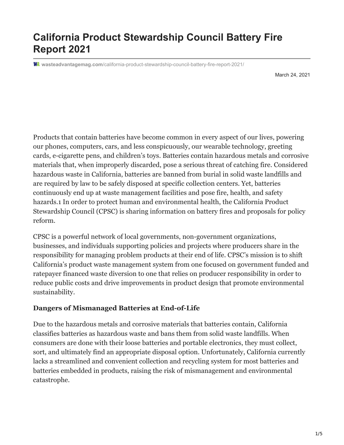# **California Product Stewardship Council Battery Fire Report 2021**

**wasteadvantagemag.com**[/california-product-stewardship-council-battery-fire-report-2021/](https://wasteadvantagemag.com/california-product-stewardship-council-battery-fire-report-2021/)

March 24, 2021

Products that contain batteries have become common in every aspect of our lives, powering our phones, computers, cars, and less conspicuously, our wearable technology, greeting cards, e-cigarette pens, and children's toys. Batteries contain hazardous metals and corrosive materials that, when improperly discarded, pose a serious threat of catching fire. Considered hazardous waste in California, batteries are banned from burial in solid waste landfills and are required by law to be safely disposed at specific collection centers. Yet, batteries continuously end up at waste management facilities and pose fire, health, and safety hazards.1 In order to protect human and environmental health, the California Product Stewardship Council (CPSC) is sharing information on battery fires and proposals for policy reform.

CPSC is a powerful network of local governments, non-government organizations, businesses, and individuals supporting policies and projects where producers share in the responsibility for managing problem products at their end of life. CPSC's mission is to shift California's product waste management system from one focused on government funded and ratepayer financed waste diversion to one that relies on producer responsibility in order to reduce public costs and drive improvements in product design that promote environmental sustainability.

#### **Dangers of Mismanaged Batteries at End-of-Life**

Due to the hazardous metals and corrosive materials that batteries contain, California classifies batteries as hazardous waste and bans them from solid waste landfills. When consumers are done with their loose batteries and portable electronics, they must collect, sort, and ultimately find an appropriate disposal option. Unfortunately, California currently lacks a streamlined and convenient collection and recycling system for most batteries and batteries embedded in products, raising the risk of mismanagement and environmental catastrophe.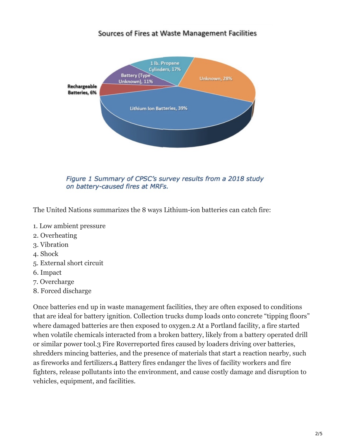#### Sources of Fires at Waste Management Facilities



Figure 1 Summary of CPSC's survey results from a 2018 study on battery-caused fires at MRFs.

The United Nations summarizes the 8 ways Lithium-ion batteries can catch fire:

- 1. Low ambient pressure
- 2. Overheating
- 3. Vibration
- 4. Shock
- 5. External short circuit
- 6. Impact
- 7. Overcharge
- 8. Forced discharge

Once batteries end up in waste management facilities, they are often exposed to conditions that are ideal for battery ignition. Collection trucks dump loads onto concrete "tipping floors" where damaged batteries are then exposed to oxygen.2 At a Portland facility, a fire started when volatile chemicals interacted from a broken battery, likely from a battery operated drill or similar power tool.3 Fire Roverreported fires caused by loaders driving over batteries, shredders mincing batteries, and the presence of materials that start a reaction nearby, such as fireworks and fertilizers.4 Battery fires endanger the lives of facility workers and fire fighters, release pollutants into the environment, and cause costly damage and disruption to vehicles, equipment, and facilities.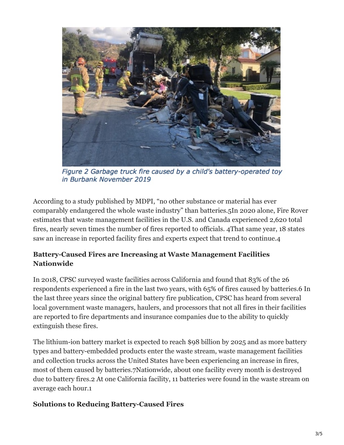

Figure 2 Garbage truck fire caused by a child's battery-operated toy in Burbank November 2019

According to a study published by MDPI, "no other substance or material has ever comparably endangered the whole waste industry" than batteries.5In 2020 alone, Fire Rover estimates that waste management facilities in the U.S. and Canada experienced 2,620 total fires, nearly seven times the number of fires reported to officials. 4That same year, 18 states saw an increase in reported facility fires and experts expect that trend to continue.4

#### **Battery-Caused Fires are Increasing at Waste Management Facilities Nationwide**

In 2018, CPSC surveyed waste facilities across California and found that 83% of the 26 respondents experienced a fire in the last two years, with 65% of fires caused by batteries.6 In the last three years since the original battery fire publication, CPSC has heard from several local government waste managers, haulers, and processors that not all fires in their facilities are reported to fire departments and insurance companies due to the ability to quickly extinguish these fires.

The lithium-ion battery market is expected to reach \$98 billion by 2025 and as more battery types and battery-embedded products enter the waste stream, waste management facilities and collection trucks across the United States have been experiencing an increase in fires, most of them caused by batteries.7Nationwide, about one facility every month is destroyed due to battery fires.2 At one California facility, 11 batteries were found in the waste stream on average each hour.1

#### **Solutions to Reducing Battery-Caused Fires**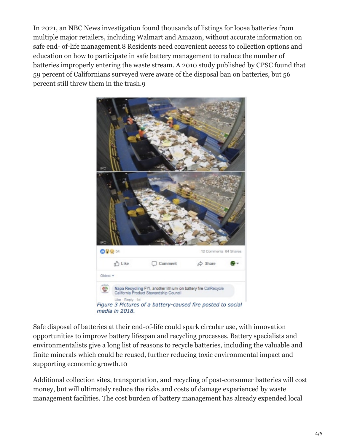In 2021, an NBC News investigation found thousands of listings for loose batteries from multiple major retailers, including Walmart and Amazon, without accurate information on safe end- of-life management.8 Residents need convenient access to collection options and education on how to participate in safe battery management to reduce the number of batteries improperly entering the waste stream. A 2010 study published by CPSC found that 59 percent of Californians surveyed were aware of the disposal ban on batteries, but 56 percent still threw them in the trash.9



Safe disposal of batteries at their end-of-life could spark circular use, with innovation opportunities to improve battery lifespan and recycling processes. Battery specialists and environmentalists give a long list of reasons to recycle batteries, including the valuable and finite minerals which could be reused, further reducing toxic environmental impact and supporting economic growth.10

Additional collection sites, transportation, and recycling of post-consumer batteries will cost money, but will ultimately reduce the risks and costs of damage experienced by waste management facilities. The cost burden of battery management has already expended local